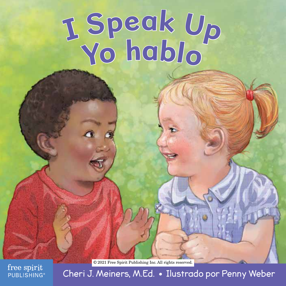# **Y<sup>o</sup> habl<sup>o</sup> <sup>I</sup> <sup>S</sup>p<sup>e</sup><sup>a</sup><sup>k</sup> <sup>U</sup><sup>p</sup>**

© 2021 Free Spirit Publishing Inc. All rights reserved.

free spirit **PUBLISHING** 

Cheri J. Meiners, M.Ed. • Ilustrado por Penny Weber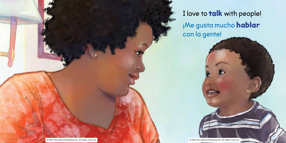I love to **talk** with people! ¡Me gusta mucho hablar con la gente!

© 2021 Free Spirit Publishing Inc. All rights reserved. © 2021 Free Spirit Publishing Inc. All rights reserved.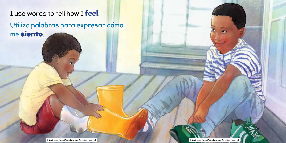# I use words to tell how I feel.

Utilizo palabras para expresar cómo me siento.

© 2021 Free Spirit Publishing Inc. All rights reserved. © 2021 Free Spirit Publishing Inc. All rights reserved.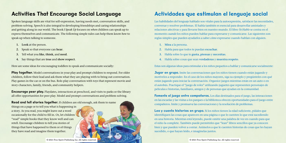## **Activities That Encourage Social Language**

Spoken language skills are vital for self-expression, having needs met, conversation skills, and problem-solving. Speech is also integral to developing friendships and caring relationships and getting along in our world. The book *I Speak Up* focuses on *when* children can speak up to express themselves and communicate. The following simple rules can help them know *how* to speak up when talking to someone.

- **1. Look** at the person.
- **2.** Speak so that everyone can **hear**.

they have read and imagine them together.

- **3.** Tell what you **like**, **think**, and **need**.
- **4.** Say things that are **true** and **show respect**.

Here are some ideas for encouraging toddlers to speak and communicate socially:

**Play together.** Model conversations in your play and prompt children to respond. For older children, follow their lead and ask them what they are playing with to bring out conversation. Play games in the car or on the bus. Role-play conversation with toys that represent movie and story characters, family, friends, and community helpers.

**Encourage peer play.** Playdates, interactions at preschool, and visits to parks or the library all offer opportunities for peer play. Model and prompt conversations and problem-solving.

**Read and tell stories together.** If children are old enough, ask them to name things on a page or to tell you what is happening in a story. As you read, you might leave out a word occasionally for the child to fill in. Or, let children "read" simple books that they know well and can retell. Encourage children to tell you stories of things that have happened to them or of things

## **Actividades que estimulan el lenguaje social**

Las habilidades del lenguaje hablado son vitales para la autoexpresión, satisfacer las necesidades, conversar y resolver problemas. El habla también es esencial para desarrollar amistades y relaciones afectivas y para llevarse bien en nuestro mundo. El libro *Yo Hablo* se centra en el momento *cuando* los niños pueden hablar para expresarse y comunicarse. Las siguientes son reglas simples que pueden ayudarlos a saber *cómo* expresarse cuando hablan con alguien.

- **1. Mira** a la persona.
- **2.** Habla para que todos te puedan **escuchar**.
- **3.** Habla sobre lo que te **gusta**, **piensas** y **necesitas**.
- **4.** Habla sobre cosas que sean **verdaderas** y **muestra respeto**.

Estas son algunas ideas para estimular a los niños pequeños a hablar y comunicarse socialmente:

**Jugar en grupo.** Imite las conversaciones que los niños tienen cuando están jugando y motívelos a responder. En el caso de los niños mayores, siga su ejemplo y pregúnteles con qué están jugando para iniciar la conversación. Organice juegos mientras están en un auto o en el autobús. Practique el "juego de roles" utilizando juguetes que representen personajes de películas e historias, familiares, amigos y de personas que ayudan en la comunidad.

**Fomente el juego entre compañeros.** Los días destinados para el juego, las interacciones en las escuelas y las visitas a los parques o la biblioteca ofrecen oportunidades para el juego entre compañeros. Imite y promueva las conversaciones y la resolución de problemas.

**Lea y cuente historias en grupo.** Si los niños tienen la edad suficiente, pídales que identifiquen las cosas que aparecen en una página o que le cuenten lo que está sucediendo en una historia. Mientras está leyendo, puede omitir una palabra de vez en cuando para que el niño la complete. También puede permitirles que "lean" libros sencillos que ya conocen bien y que pueden volver a contar. Anímelos a que le cuenten historias de cosas que les hayan sucedido, o que hayan leído, e imagínelas juntos.